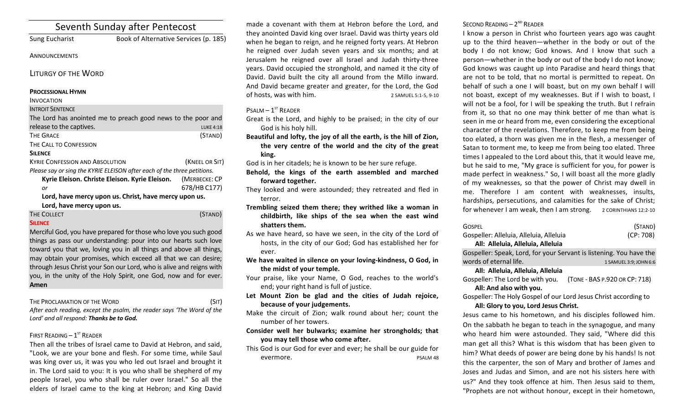# Seventh Sunday after Pentecost

Sung Eucharist Book of Alternative Services (p. 185)

## **ANNOUNCEMENTS**

LITURGY OF THE WORD

#### **PROCESSIONAL HYMN**

#### INVOCATION

**INTROIT SENTENCE** 

| The Lord has anointed me to preach good news to the poor and            |                  |
|-------------------------------------------------------------------------|------------------|
| release to the captives.                                                | <b>LUKE 4:18</b> |
| <b>THE GRACE</b>                                                        | (STAND)          |
| THE CALL TO CONFESSION                                                  |                  |
| <b>SILENCE</b>                                                          |                  |
| <b>KYRIE CONFESSION AND ABSOLUTION</b>                                  | (KNEEL OR SIT)   |
| Please say or sing the KYRIE ELEISON after each of the three petitions. |                  |
| Kyrie Eleison. Christe Eleison. Kyrie Eleison.                          | (MERBECKE: CP    |
| or                                                                      | 678/HB C177)     |
| Lord, have mercy upon us. Christ, have mercy upon us.                   |                  |

Lord, have mercy upon us.

THE COLLECT **THE COLLECT COLLECT COLLECT COLLECT COLLECT COLLECT COLLECT COLLECT SILENCE**

Merciful God, you have prepared for those who love you such good things as pass our understanding: pour into our hearts such love toward you that we, loving you in all things and above all things, may obtain your promises, which exceed all that we can desire; through Jesus Christ your Son our Lord, who is alive and reigns with you, in the unity of the Holy Spirit, one God, now and for ever. **Amen**

THE PROCLAMATION OF THE WORD (SIT)

After each reading, except the psalm, the reader says 'The Word of the Lord' and all respond: Thanks be to God.

# FIRST READING  $-1<sup>ST</sup>$  READER

Then all the tribes of Israel came to David at Hebron, and said, "Look, we are your bone and flesh. For some time, while Saul was king over us, it was you who led out Israel and brought it in. The Lord said to you: It is you who shall be shepherd of my people Israel, you who shall be ruler over Israel." So all the elders of Israel came to the king at Hebron; and King David

made a covenant with them at Hebron before the Lord, and they anointed David king over Israel. David was thirty years old when he began to reign, and he reigned forty years. At Hebron he reigned over Judah seven years and six months; and at Jerusalem he reigned over all Israel and Judah thirty-three years. David occupied the stronghold, and named it the city of David. David built the city all around from the Millo inward. And David became greater and greater, for the Lord, the God of hosts, was with him. 2 SAMUEL 5:1-5, 9-10

# $P$ SALM –  $1^{ST}$  READER

- Great is the Lord, and highly to be praised; in the city of our God is his holy hill.
- Beautiful and lofty, the joy of all the earth, is the hill of Zion, the very centre of the world and the city of the great **king.**

God is in her citadels; he is known to be her sure refuge.

Behold, the kings of the earth assembled and marched forward together.

- They looked and were astounded; they retreated and fled in terror.
- Trembling seized them there; they writhed like a woman in childbirth, like ships of the sea when the east wind shatters them.
- As we have heard, so have we seen, in the city of the Lord of hosts, in the city of our God; God has established her for ever.
- We have waited in silence on your loving-kindness, O God, in the midst of your temple.
- Your praise, like your Name, O God, reaches to the world's end: your right hand is full of justice.
- Let Mount Zion be glad and the cities of Judah rejoice, **because of your judgements.**
- Make the circuit of Zion; walk round about her; count the number of her towers.
- Consider well her bulwarks; examine her strongholds; that **you may tell those who come after.**
- This God is our God for ever and ever; he shall be our guide for evermore. **Example 2018 PSALM 48**

# SECOND READING  $- 2<sup>ND</sup>$  READER

I know a person in Christ who fourteen years ago was caught up to the third heaven—whether in the body or out of the body I do not know; God knows. And I know that such a person—whether in the body or out of the body I do not know; God knows was caught up into Paradise and heard things that are not to be told, that no mortal is permitted to repeat. On behalf of such a one I will boast, but on my own behalf I will not boast, except of my weaknesses. But if I wish to boast, I will not be a fool, for I will be speaking the truth. But I refrain from it, so that no one may think better of me than what is seen in me or heard from me, even considering the exceptional character of the revelations. Therefore, to keep me from being too elated, a thorn was given me in the flesh, a messenger of Satan to torment me, to keep me from being too elated. Three times I appealed to the Lord about this, that it would leave me, but he said to me, "My grace is sufficient for you, for power is made perfect in weakness." So, I will boast all the more gladly of my weaknesses, so that the power of Christ may dwell in me. Therefore I am content with weaknesses, insults, hardships, persecutions, and calamities for the sake of Christ; for whenever I am weak, then I am strong. 2 CORINTHIANS 12:2-10

| GOSPEL                                                              | (STAND)                       |  |
|---------------------------------------------------------------------|-------------------------------|--|
| Gospeller: Alleluia, Alleluia, Alleluia                             | (CP: 708)                     |  |
| All: Alleluia, Alleluia, Alleluia                                   |                               |  |
| Gospeller: Speak, Lord, for your Servant is listening. You have the |                               |  |
| words of eternal life.                                              | 1 SAMUEL 3:9; JOHN 6:6        |  |
| All: Alleluia, Alleluia, Alleluia                                   |                               |  |
| Gospeller: The Lord be with you.                                    | (TONE - BAS P.920 OR CP: 718) |  |
| All: And also with you.                                             |                               |  |
| Gospeller: The Holy Gospel of our Lord Jesus Christ according to    |                               |  |
| All: Glory to you, Lord Jesus Christ.                               |                               |  |
| Jesus came to his hometown, and his disciples followed him.         |                               |  |
| On the sabbath he began to teach in the synagogue, and many         |                               |  |
| who heard him were astounded. They said, "Where did this            |                               |  |
| man get all this? What is this wisdom that has been given to        |                               |  |
| him? What deeds of power are being done by his hands! Is not        |                               |  |
| this the carpenter, the son of Mary and brother of James and        |                               |  |
| Joses and Judas and Simon, and are not his sisters here with        |                               |  |
| us?" And they took offence at him. Then Jesus said to them,         |                               |  |

"Prophets are not without honour, except in their hometown,